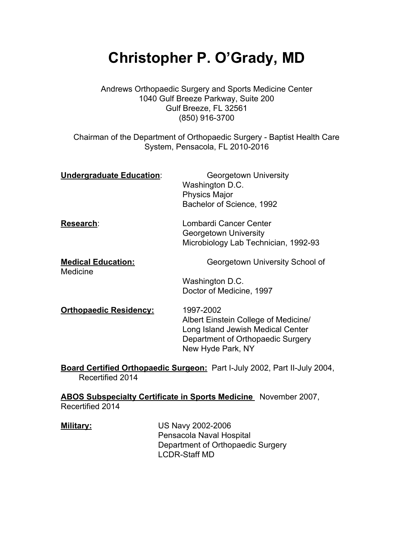# **Christopher P. O'Grady, MD**

Andrews Orthopaedic Surgery and Sports Medicine Center 1040 Gulf Breeze Parkway, Suite 200 Gulf Breeze, FL 32561 (850) 916-3700

Chairman of the Department of Orthopaedic Surgery - Baptist Health Care System, Pensacola, FL 2010-2016

| Undergraduate Education:              | <b>Georgetown University</b><br>Washington D.C.<br><b>Physics Major</b><br>Bachelor of Science, 1992 |
|---------------------------------------|------------------------------------------------------------------------------------------------------|
| Research:                             | Lombardi Cancer Center<br><b>Georgetown University</b><br>Microbiology Lab Technician, 1992-93       |
| <b>Medical Education:</b><br>Medicine | Georgetown University School of                                                                      |
|                                       | Washington D.C.                                                                                      |
|                                       | Doctor of Medicine, 1997                                                                             |
| <b>Orthopaedic Residency:</b>         | 1997-2002<br>Albert Einstein College of Medicine/<br>Long Island Jewish Medical Center               |

**Board Certified Orthopaedic Surgeon:** Part I-July 2002, Part II-July 2004, Recertified 2014

New Hyde Park, NY

Department of Orthopaedic Surgery

**ABOS Subspecialty Certificate in Sports Medicine** November 2007, Recertified 2014

| <u> Military:</u> | US Navy 2002-2006                 |
|-------------------|-----------------------------------|
|                   | Pensacola Naval Hospital          |
|                   | Department of Orthopaedic Surgery |
|                   | <b>LCDR-Staff MD</b>              |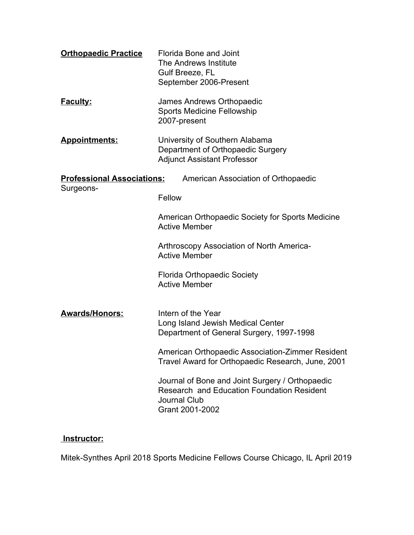| Florida Bone and Joint<br>The Andrews Institute<br>Gulf Breeze, FL<br>September 2006-Present                                            |
|-----------------------------------------------------------------------------------------------------------------------------------------|
| James Andrews Orthopaedic<br><b>Sports Medicine Fellowship</b><br>2007-present                                                          |
| University of Southern Alabama<br>Department of Orthopaedic Surgery<br><b>Adjunct Assistant Professor</b>                               |
| <b>Professional Associations:</b><br>American Association of Orthopaedic<br>Fellow                                                      |
| American Orthopaedic Society for Sports Medicine<br><b>Active Member</b>                                                                |
| Arthroscopy Association of North America-<br><b>Active Member</b>                                                                       |
| <b>Florida Orthopaedic Society</b><br><b>Active Member</b>                                                                              |
| Intern of the Year<br>Long Island Jewish Medical Center<br>Department of General Surgery, 1997-1998                                     |
| American Orthopaedic Association-Zimmer Resident<br>Travel Award for Orthopaedic Research, June, 2001                                   |
| Journal of Bone and Joint Surgery / Orthopaedic<br>Research and Education Foundation Resident<br><b>Journal Club</b><br>Grant 2001-2002 |
|                                                                                                                                         |

## **Instructor:**

Mitek-Synthes April 2018 Sports Medicine Fellows Course Chicago, IL April 2019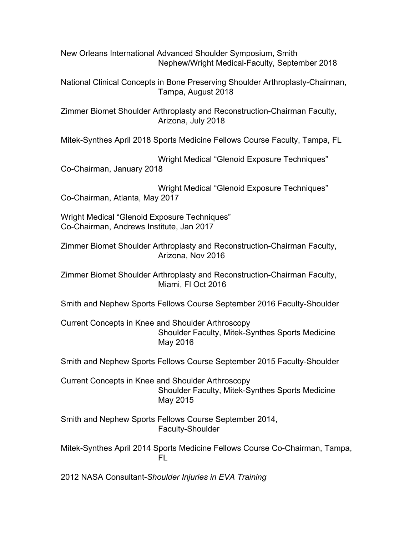New Orleans International Advanced Shoulder Symposium, Smith Nephew/Wright Medical-Faculty, September 2018

National Clinical Concepts in Bone Preserving Shoulder Arthroplasty-Chairman, Tampa, August 2018

Zimmer Biomet Shoulder Arthroplasty and Reconstruction-Chairman Faculty, Arizona, July 2018

Mitek-Synthes April 2018 Sports Medicine Fellows Course Faculty, Tampa, FL

Wright Medical "Glenoid Exposure Techniques" Co-Chairman, January 2018

Wright Medical "Glenoid Exposure Techniques" Co-Chairman, Atlanta, May 2017

Wright Medical "Glenoid Exposure Techniques" Co-Chairman, Andrews Institute, Jan 2017

Zimmer Biomet Shoulder Arthroplasty and Reconstruction-Chairman Faculty, Arizona, Nov 2016

Zimmer Biomet Shoulder Arthroplasty and Reconstruction-Chairman Faculty, Miami, Fl Oct 2016

Smith and Nephew Sports Fellows Course September 2016 Faculty-Shoulder

Current Concepts in Knee and Shoulder Arthroscopy Shoulder Faculty, Mitek-Synthes Sports Medicine May 2016

Smith and Nephew Sports Fellows Course September 2015 Faculty-Shoulder

Current Concepts in Knee and Shoulder Arthroscopy Shoulder Faculty, Mitek-Synthes Sports Medicine May 2015

Smith and Nephew Sports Fellows Course September 2014, Faculty-Shoulder

Mitek-Synthes April 2014 Sports Medicine Fellows Course Co-Chairman, Tampa, FL

2012 NASA Consultant-*Shoulder Injuries in EVA Training*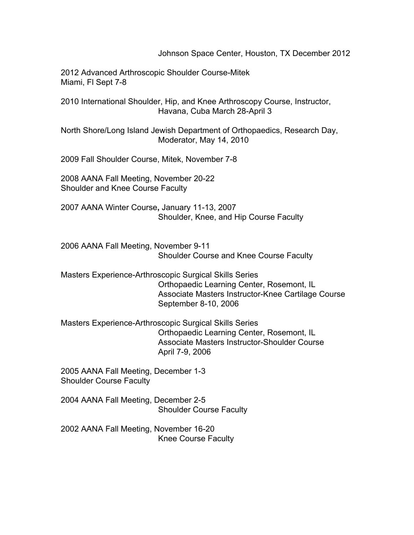Johnson Space Center, Houston, TX December 2012

2012 Advanced Arthroscopic Shoulder Course-Mitek Miami, Fl Sept 7-8

2010 International Shoulder, Hip, and Knee Arthroscopy Course, Instructor, Havana, Cuba March 28-April 3

North Shore/Long Island Jewish Department of Orthopaedics, Research Day, Moderator, May 14, 2010

2009 Fall Shoulder Course, Mitek, November 7-8

2008 AANA Fall Meeting, November 20-22 Shoulder and Knee Course Faculty

2007 AANA Winter Course**,** January 11-13, 2007 Shoulder, Knee, and Hip Course Faculty

2006 AANA Fall Meeting, November 9-11 Shoulder Course and Knee Course Faculty

Masters Experience-Arthroscopic Surgical Skills Series Orthopaedic Learning Center, Rosemont, IL Associate Masters Instructor-Knee Cartilage Course September 8-10, 2006

Masters Experience-Arthroscopic Surgical Skills Series Orthopaedic Learning Center, Rosemont, IL Associate Masters Instructor-Shoulder Course April 7-9, 2006

2005 AANA Fall Meeting, December 1-3 Shoulder Course Faculty

2004 AANA Fall Meeting, December 2-5 Shoulder Course Faculty

2002 AANA Fall Meeting, November 16-20 Knee Course Faculty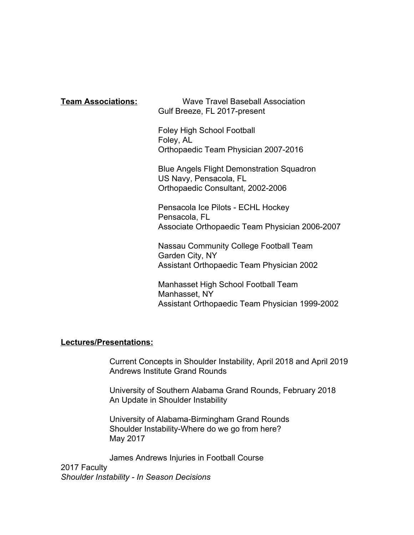**Team Associations:** Wave Travel Baseball Association Gulf Breeze, FL 2017-present

> Foley High School Football Foley, AL Orthopaedic Team Physician 2007-2016

Blue Angels Flight Demonstration Squadron US Navy, Pensacola, FL Orthopaedic Consultant, 2002-2006

Pensacola Ice Pilots - ECHL Hockey Pensacola, FL Associate Orthopaedic Team Physician 2006-2007

Nassau Community College Football Team Garden City, NY Assistant Orthopaedic Team Physician 2002

Manhasset High School Football Team Manhasset, NY Assistant Orthopaedic Team Physician 1999-2002

### **Lectures/Presentations:**

Current Concepts in Shoulder Instability, April 2018 and April 2019 Andrews Institute Grand Rounds

University of Southern Alabama Grand Rounds, February 2018 An Update in Shoulder Instability

University of Alabama-Birmingham Grand Rounds Shoulder Instability-Where do we go from here? May 2017

James Andrews Injuries in Football Course

2017 Faculty *Shoulder Instability - In Season Decisions*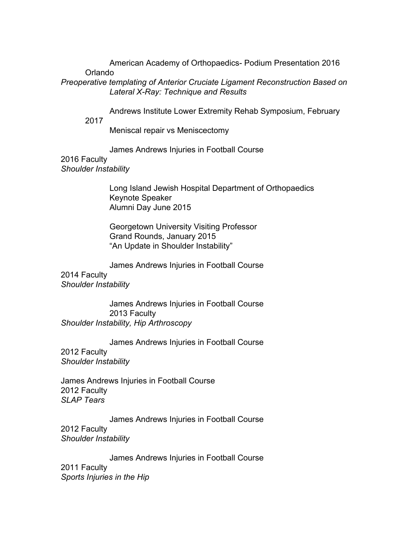American Academy of Orthopaedics- Podium Presentation 2016 Orlando

*Preoperative templating of Anterior Cruciate Ligament Reconstruction Based on Lateral X-Ray: Technique and Results*

Andrews Institute Lower Extremity Rehab Symposium, February

2017

Meniscal repair vs Meniscectomy

James Andrews Injuries in Football Course

2016 Faculty

*Shoulder Instability*

Long Island Jewish Hospital Department of Orthopaedics Keynote Speaker Alumni Day June 2015

Georgetown University Visiting Professor Grand Rounds, January 2015 "An Update in Shoulder Instability"

James Andrews Injuries in Football Course

2014 Faculty *Shoulder Instability*

James Andrews Injuries in Football Course 2013 Faculty *Shoulder Instability, Hip Arthroscopy*

James Andrews Injuries in Football Course 2012 Faculty *Shoulder Instability*

James Andrews Injuries in Football Course 2012 Faculty *SLAP Tears*

James Andrews Injuries in Football Course 2012 Faculty *Shoulder Instability*

James Andrews Injuries in Football Course 2011 Faculty *Sports Injuries in the Hip*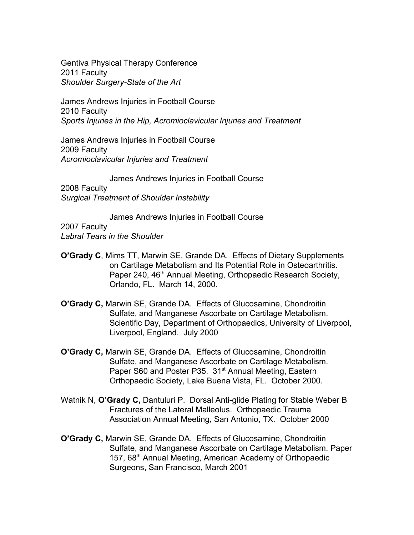Gentiva Physical Therapy Conference 2011 Faculty *Shoulder Surgery-State of the Art*

James Andrews Injuries in Football Course 2010 Faculty *Sports Injuries in the Hip, Acromioclavicular Injuries and Treatment*

James Andrews Injuries in Football Course 2009 Faculty *Acromioclavicular Injuries and Treatment*

James Andrews Injuries in Football Course

2008 Faculty *Surgical Treatment of Shoulder Instability*

James Andrews Injuries in Football Course 2007 Faculty *Labral Tears in the Shoulder*

- **O'Grady C**, Mims TT, Marwin SE, Grande DA. Effects of Dietary Supplements on Cartilage Metabolism and Its Potential Role in Osteoarthritis. Paper 240, 46<sup>th</sup> Annual Meeting, Orthopaedic Research Society, Orlando, FL. March 14, 2000.
- **O'Grady C,** Marwin SE, Grande DA. Effects of Glucosamine, Chondroitin Sulfate, and Manganese Ascorbate on Cartilage Metabolism. Scientific Day, Department of Orthopaedics, University of Liverpool, Liverpool, England. July 2000
- **O'Grady C,** Marwin SE, Grande DA. Effects of Glucosamine, Chondroitin Sulfate, and Manganese Ascorbate on Cartilage Metabolism. Paper S60 and Poster P35. 31<sup>st</sup> Annual Meeting, Eastern Orthopaedic Society, Lake Buena Vista, FL. October 2000.
- Watnik N, **O'Grady C,** Dantuluri P. Dorsal Anti-glide Plating for Stable Weber B Fractures of the Lateral Malleolus. Orthopaedic Trauma Association Annual Meeting, San Antonio, TX. October 2000
- **O'Grady C,** Marwin SE, Grande DA. Effects of Glucosamine, Chondroitin Sulfate, and Manganese Ascorbate on Cartilage Metabolism. Paper 157, 68<sup>th</sup> Annual Meeting, American Academy of Orthopaedic Surgeons, San Francisco, March 2001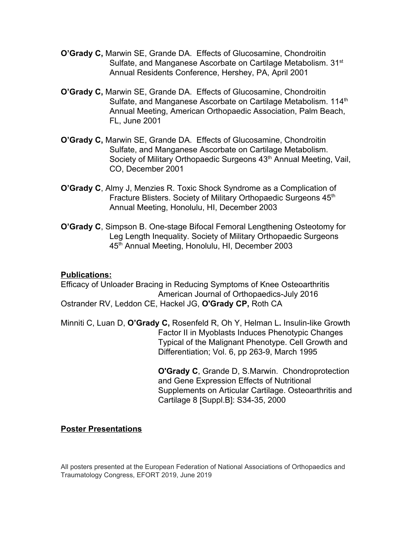- **O'Grady C,** Marwin SE, Grande DA. Effects of Glucosamine, Chondroitin Sulfate, and Manganese Ascorbate on Cartilage Metabolism. 31<sup>st</sup> Annual Residents Conference, Hershey, PA, April 2001
- **O'Grady C,** Marwin SE, Grande DA. Effects of Glucosamine, Chondroitin Sulfate, and Manganese Ascorbate on Cartilage Metabolism. 114<sup>th</sup> Annual Meeting, American Orthopaedic Association, Palm Beach, FL, June 2001
- **O'Grady C,** Marwin SE, Grande DA. Effects of Glucosamine, Chondroitin Sulfate, and Manganese Ascorbate on Cartilage Metabolism. Society of Military Orthopaedic Surgeons 43<sup>th</sup> Annual Meeting, Vail, CO, December 2001
- **O'Grady C**, Almy J, Menzies R. Toxic Shock Syndrome as a Complication of Fracture Blisters. Society of Military Orthopaedic Surgeons 45<sup>th</sup> Annual Meeting, Honolulu, HI, December 2003
- **O'Grady C**, Simpson B. One-stage Bifocal Femoral Lengthening Osteotomy for Leg Length Inequality. Society of Military Orthopaedic Surgeons 45th Annual Meeting, Honolulu, HI, December 2003

### **Publications:**

[Efficacy of Unloader Bracing in Reducing Symptoms of Knee Osteoarthritis](http://www.mdedge.com/amjorthopedics/article/109934/knee/efficacy-unloader-bracing-reducing-symptoms-knee-osteoarthritis)  American Journal of Orthopaedics-July 2016 Ostrander RV, Leddon CE, Hackel JG, **O'Grady CP,** Roth CA

Minniti C, Luan D, **O'Grady C,** Rosenfeld R, Oh Y, Helman L**.** Insulin-like Growth Factor II in Myoblasts Induces Phenotypic Changes Typical of the Malignant Phenotype. Cell Growth and Differentiation; Vol. 6, pp 263-9, March 1995

> **O'Grady C**, Grande D, S.Marwin. Chondroprotection and Gene Expression Effects of Nutritional Supplements on Articular Cartilage. Osteoarthritis and Cartilage 8 [Suppl.B]: S34-35, 2000

### **Poster Presentations**

All posters presented at the European Federation of National Associations of Orthopaedics and Traumatology Congress, EFORT 2019, June 2019